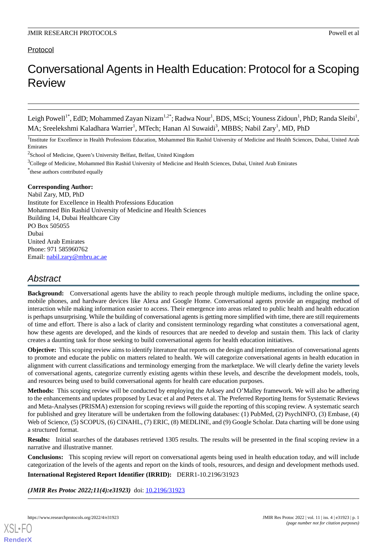# Protocol

# Conversational Agents in Health Education: Protocol for a Scoping Review

Leigh Powell<sup>1\*</sup>, EdD; Mohammed Zayan Nizam<sup>1,2\*</sup>; Radwa Nour<sup>1</sup>, BDS, MSci; Youness Zidoun<sup>1</sup>, PhD; Randa Sleibi<sup>1</sup>, MA; Sreelekshmi Kaladhara Warrier<sup>1</sup>, MTech; Hanan Al Suwaidi<sup>3</sup>, MBBS; Nabil Zary<sup>1</sup>, MD, PhD

<sup>1</sup>Institute for Excellence in Health Professions Education, Mohammed Bin Rashid University of Medicine and Health Sciences, Dubai, United Arab Emirates

<sup>2</sup>School of Medicine, Queen's University Belfast, Belfast, United Kingdom

<sup>3</sup>College of Medicine, Mohammed Bin Rashid University of Medicine and Health Sciences, Dubai, United Arab Emirates

\* these authors contributed equally

### **Corresponding Author:**

Nabil Zary, MD, PhD Institute for Excellence in Health Professions Education Mohammed Bin Rashid University of Medicine and Health Sciences Building 14, Dubai Healthcare City PO Box 505055 Dubai United Arab Emirates Phone: 971 585960762 Email: [nabil.zary@mbru.ac.ae](mailto:nabil.zary@mbru.ac.ae)

# *Abstract*

**Background:** Conversational agents have the ability to reach people through multiple mediums, including the online space, mobile phones, and hardware devices like Alexa and Google Home. Conversational agents provide an engaging method of interaction while making information easier to access. Their emergence into areas related to public health and health education is perhaps unsurprising. While the building of conversational agents is getting more simplified with time, there are still requirements of time and effort. There is also a lack of clarity and consistent terminology regarding what constitutes a conversational agent, how these agents are developed, and the kinds of resources that are needed to develop and sustain them. This lack of clarity creates a daunting task for those seeking to build conversational agents for health education initiatives.

**Objective:** This scoping review aims to identify literature that reports on the design and implementation of conversational agents to promote and educate the public on matters related to health. We will categorize conversational agents in health education in alignment with current classifications and terminology emerging from the marketplace. We will clearly define the variety levels of conversational agents, categorize currently existing agents within these levels, and describe the development models, tools, and resources being used to build conversational agents for health care education purposes.

**Methods:** This scoping review will be conducted by employing the Arksey and O'Malley framework. We will also be adhering to the enhancements and updates proposed by Levac et al and Peters et al. The Preferred Reporting Items for Systematic Reviews and Meta-Analyses (PRISMA) extension for scoping reviews will guide the reporting of this scoping review. A systematic search for published and grey literature will be undertaken from the following databases: (1) PubMed, (2) PsychINFO, (3) Embase, (4) Web of Science, (5) SCOPUS, (6) CINAHL, (7) ERIC, (8) MEDLINE, and (9) Google Scholar. Data charting will be done using a structured format.

**Results:** Initial searches of the databases retrieved 1305 results. The results will be presented in the final scoping review in a narrative and illustrative manner.

**Conclusions:** This scoping review will report on conversational agents being used in health education today, and will include categorization of the levels of the agents and report on the kinds of tools, resources, and design and development methods used.

**International Registered Report Identifier (IRRID):** DERR1-10.2196/31923

(JMIR Res Protoc 2022;11(4):e31923) doi: [10.2196/31923](http://dx.doi.org/10.2196/31923)

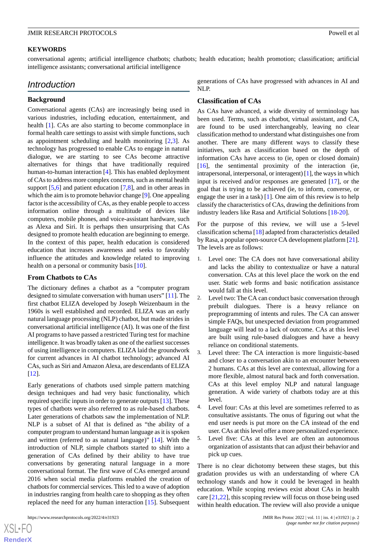#### **KEYWORDS**

conversational agents; artificial intelligence chatbots; chatbots; health education; health promotion; classification; artificial intelligence assistants; conversational artificial intelligence

# *Introduction*

#### **Background**

Conversational agents (CAs) are increasingly being used in various industries, including education, entertainment, and health [[1\]](#page-7-0). CAs are also starting to become commonplace in formal health care settings to assist with simple functions, such as appointment scheduling and health monitoring [[2,](#page-7-1)[3](#page-7-2)]. As technology has progressed to enable CAs to engage in natural dialogue, we are starting to see CAs become attractive alternatives for things that have traditionally required human-to-human interaction [\[4](#page-7-3)]. This has enabled deployment of CAs to address more complex concerns, such as mental health support  $[5,6]$  $[5,6]$  $[5,6]$  and patient education  $[7,8]$  $[7,8]$  $[7,8]$  $[7,8]$ , and in other areas in which the aim is to promote behavior change [\[9](#page-7-8)]. One appealing factor is the accessibility of CAs, as they enable people to access information online through a multitude of devices like computers, mobile phones, and voice-assistant hardware, such as Alexa and Siri. It is perhaps then unsurprising that CAs designed to promote health education are beginning to emerge. In the context of this paper, health education is considered education that increases awareness and seeks to favorably influence the attitudes and knowledge related to improving health on a personal or community basis [\[10](#page-7-9)].

#### **From Chatbots to CAs**

The dictionary defines a chatbot as a "computer program designed to simulate conversation with human users" [\[11](#page-7-10)]. The first chatbot ELIZA developed by Joseph Weizenbaum in the 1960s is well established and recorded. ELIZA was an early natural language processing (NLP) chatbot, but made strides in conversational artificial intelligence (AI). It was one of the first AI programs to have passed a restricted Turing test for machine intelligence. It was broadly taken as one of the earliest successes of using intelligence in computers. ELIZA laid the groundwork for current advances in AI chatbot technology; advanced AI CAs, such as Siri and Amazon Alexa, are descendants of ELIZA [[12\]](#page-7-11).

Early generations of chatbots used simple pattern matching design techniques and had very basic functionality, which required specific inputs in order to generate outputs [[13\]](#page-7-12). These types of chatbots were also referred to as rule-based chatbots. Later generations of chatbots saw the implementation of NLP. NLP is a subset of AI that is defined as "the ability of a computer program to understand human language as it is spoken and written (referred to as natural language)" [[14\]](#page-7-13). With the introduction of NLP, simple chatbots started to shift into a generation of CAs defined by their ability to have true conversations by generating natural language in a more conversational format. The first wave of CAs emerged around 2016 when social media platforms enabled the creation of chatbots for commercial services. This led to a wave of adoption in industries ranging from health care to shopping as they often replaced the need for any human interaction [[15\]](#page-7-14). Subsequent

 $XSI - F($ **[RenderX](http://www.renderx.com/)** generations of CAs have progressed with advances in AI and NLP.

#### **Classification of CAs**

As CAs have advanced, a wide diversity of terminology has been used. Terms, such as chatbot, virtual assistant, and CA, are found to be used interchangeably, leaving no clear classification method to understand what distinguishes one from another. There are many different ways to classify these initiatives, such as classification based on the depth of information CAs have access to (ie, open or closed domain) [[16\]](#page-7-15), the sentimental proximity of the interaction (ie, intrapersonal, interpersonal, or interagent) [\[1](#page-7-0)], the ways in which input is received and/or responses are generated [[17\]](#page-7-16), or the goal that is trying to be achieved (ie, to inform, converse, or engage the user in a task) [\[1](#page-7-0)]. One aim of this review is to help classify the characteristics of CAs, drawing the definitions from industry leaders like Rasa and Artificial Solutions [[18-](#page-7-17)[20\]](#page-7-18).

For the purpose of this review, we will use a 5-level classification schema [\[18\]](#page-7-17) adapted from characteristics detailed by Rasa, a popular open-source CA development platform [[21\]](#page-7-19). The levels are as follows:

- 1. Level one: The CA does not have conversational ability and lacks the ability to contextualize or have a natural conversation. CAs at this level place the work on the end user. Static web forms and basic notification assistance would fall at this level.
- 2. Level two: The CA can conduct basic conversation through prebuilt dialogues. There is a heavy reliance on preprogramming of intents and rules. The CA can answer simple FAQs, but unexpected deviation from programmed language will lead to a lack of outcome. CAs at this level are built using rule-based dialogues and have a heavy reliance on conditional statements.
- 3. Level three: The CA interaction is more linguistic-based and closer to a conversation akin to an encounter between 2 humans. CAs at this level are contextual, allowing for a more flexible, almost natural back and forth conversation. CAs at this level employ NLP and natural language generation. A wide variety of chatbots today are at this level.
- 4. Level four: CAs at this level are sometimes referred to as consultative assistants. The onus of figuring out what the end user needs is put more on the CA instead of the end user. CAs at this level offer a more personalized experience.
- 5. Level five: CAs at this level are often an autonomous organization of assistants that can adjust their behavior and pick up cues.

There is no clear dichotomy between these stages, but this gradation provides us with an understanding of where CA technology stands and how it could be leveraged in health education. While scoping reviews exist about CAs in health care [[21,](#page-7-19)[22](#page-7-20)], this scoping review will focus on those being used within health education. The review will also provide a unique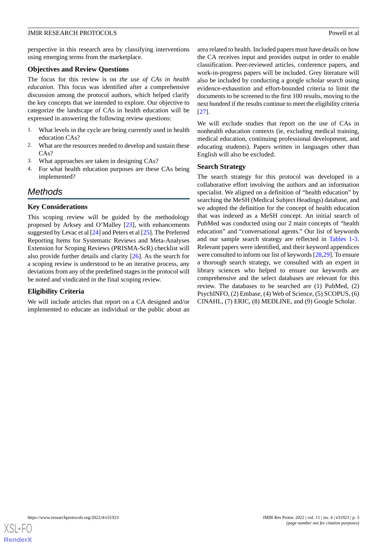perspective in this research area by classifying interventions using emerging terms from the marketplace.

#### **Objectives and Review Questions**

The focus for this review is on *the use of CAs in health education.* This focus was identified after a comprehensive discussion among the protocol authors, which helped clarify the key concepts that we intended to explore. Our objective to categorize the landscape of CAs in health education will be expressed in answering the following review questions:

- 1. What levels in the cycle are being currently used in health education CAs?
- 2. What are the resources needed to develop and sustain these  $CAs?$
- 3. What approaches are taken in designing CAs?
- 4. For what health education purposes are these CAs being implemented?

# *Methods*

#### **Key Considerations**

This scoping review will be guided by the methodology proposed by Arksey and O'Malley [[23\]](#page-8-0), with enhancements suggested by Levac et al [[24\]](#page-8-1) and Peters et al [\[25](#page-8-2)]. The Preferred Reporting Items for Systematic Reviews and Meta-Analyses Extension for Scoping Reviews (PRISMA-ScR) checklist will also provide further details and clarity [\[26](#page-8-3)]. As the search for a scoping review is understood to be an iterative process, any deviations from any of the predefined stages in the protocol will be noted and vindicated in the final scoping review.

### **Eligibility Criteria**

We will include articles that report on a CA designed and/or implemented to educate an individual or the public about an

area related to health. Included papers must have details on how the CA receives input and provides output in order to enable classification. Peer-reviewed articles, conference papers, and work-in-progress papers will be included. Grey literature will also be included by conducting a google scholar search using evidence-exhaustion and effort-bounded criteria to limit the documents to be screened to the first 100 results, moving to the next hundred if the results continue to meet the eligibility criteria [[27\]](#page-8-4).

We will exclude studies that report on the use of CAs in nonhealth education contexts (ie, excluding medical training, medical education, continuing professional development, and educating students). Papers written in languages other than English will also be excluded.

#### **Search Strategy**

The search strategy for this protocol was developed in a collaborative effort involving the authors and an information specialist. We aligned on a definition of "health education" by searching the MeSH (Medical Subject Headings) database, and we adopted the definition for the concept of health education that was indexed as a MeSH concept. An initial search of PubMed was conducted using our 2 main concepts of "health education" and "conversational agents." Our list of keywords and our sample search strategy are reflected in [Tables 1](#page-3-0)[-3](#page-4-0). Relevant papers were identified, and their keyword appendices were consulted to inform our list of keywords [\[28](#page-8-5)[,29](#page-8-6)]. To ensure a thorough search strategy, we consulted with an expert in library sciences who helped to ensure our keywords are comprehensive and the select databases are relevant for this review. The databases to be searched are (1) PubMed, (2) PsychINFO, (2) Embase, (4) Web of Science, (5) SCOPUS, (6) CINAHL, (7) ERIC, (8) MEDLINE, and (9) Google Scholar.

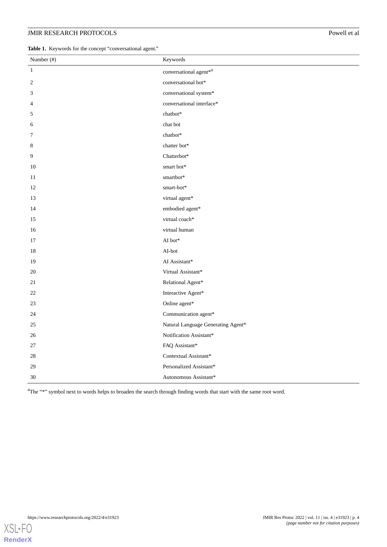# **JMIR RESEARCH PROTOCOLS**

<span id="page-3-0"></span>Table 1. Keywords for the concept "conversational agent."

| Number (#)   | Keywords                           |
|--------------|------------------------------------|
| $\mathbf{1}$ | conversational agent<br>*a         |
| $\sqrt{2}$   | conversational bot*                |
| 3            | conversational system*             |
| 4            | conversational interface*          |
| 5            | chatbot*                           |
| 6            | chat bot                           |
| 7            | chatbot*                           |
| $\,$ 8 $\,$  | chatter bot*                       |
| 9            | Chatterbot*                        |
| 10           | smart bot*                         |
| 11           | smartbot*                          |
| 12           | smart-bot*                         |
| 13           | virtual agent*                     |
| 14           | embodied agent*                    |
| 15           | virtual coach*                     |
| 16           | virtual human                      |
| 17           | AI bot*                            |
| 18           | AI-bot                             |
| 19           | AI Assistant*                      |
| 20           | Virtual Assistant*                 |
| 21           | Relational Agent*                  |
| 22           | Interactive Agent*                 |
| 23           | Online agent*                      |
| 24           | Communication agent*               |
| 25           | Natural Language Generating Agent* |
| 26           | Notification Assistant*            |
| 27           | FAQ Assistant*                     |
| 28           | Contextual Assistant*              |
| 29           | Personalized Assistant*            |
| 30           | Autonomous Assistant*              |

<sup>a</sup>The "\*" symbol next to words helps to broaden the search through finding words that start with the same root word.

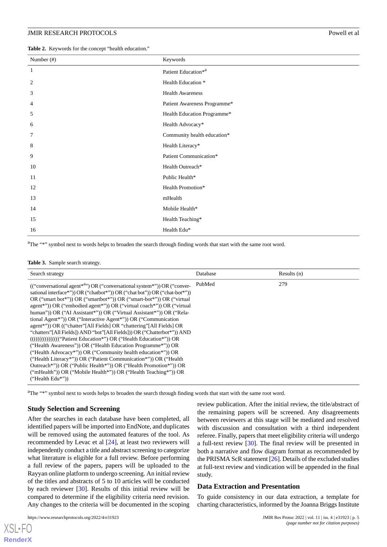**Table 2.** Keywords for the concept "health education."

| Number (#)       | Keywords                        |
|------------------|---------------------------------|
| $\mathbf{1}$     | Patient Education* <sup>a</sup> |
| $\boldsymbol{2}$ | Health Education *              |
| 3                | <b>Health Awareness</b>         |
| 4                | Patient Awareness Programme*    |
| 5                | Health Education Programme*     |
| 6                | Health Advocacy*                |
| 7                | Community health education*     |
| 8                | Health Literacy*                |
| 9                | Patient Communication*          |
| 10               | Health Outreach*                |
| 11               | Public Health*                  |
| 12               | Health Promotion*               |
| 13               | mHealth                         |
| 14               | Mobile Health*                  |
| 15               | Health Teaching*                |
| 16               | Health Edu*                     |

<span id="page-4-0"></span><sup>a</sup>The "\*" symbol next to words helps to broaden the search through finding words that start with the same root word.

#### **Table 3.** Sample search strategy.

| 279<br>PubMed | Search strategy                                                                                                                                                                                                                                                                                                                                                                                                                                                                                                                                                                                                                                                                                                                                                                                                                                                                                                                                                                                                                                                                                 | Database | Results $(n)$ |
|---------------|-------------------------------------------------------------------------------------------------------------------------------------------------------------------------------------------------------------------------------------------------------------------------------------------------------------------------------------------------------------------------------------------------------------------------------------------------------------------------------------------------------------------------------------------------------------------------------------------------------------------------------------------------------------------------------------------------------------------------------------------------------------------------------------------------------------------------------------------------------------------------------------------------------------------------------------------------------------------------------------------------------------------------------------------------------------------------------------------------|----------|---------------|
|               | ("conversational agent <sup>*a</sup> ") OR ("conversational system <sup>*</sup> ")) OR ("conver-<br>sational interface*")) OR ("chatbot*")) OR ("chat bot")) OR ("chat-bot*"))<br>OR ("smart bot*")) OR ("smartbot*")) OR ("smart-bot*")) OR ("virtual<br>agent*")) OR ("embodied agent*")) OR ("virtual coach*")) OR ("virtual<br>human")) OR ("AI Assistant*")) OR ("Virtual Assistant*")) OR ("Rela-<br>tional Agent <sup>*''</sup> )) OR ("Interactive Agent <sup>*''</sup> )) OR ("Communication<br>agent*")) OR (("chatter"[All Fields] OR "chattering"[All Fields] OR<br>"chatters" [All Fields]) AND "bot" [All Fields])) OR ("Chatterbot*")) AND<br>((((((((((((((("Patient Education*") OR ("Health Education*")) OR<br>("Health Awareness")) OR ("Health Education Programme*")) OR<br>("Health Advocacy*")) OR ("Community health education*")) OR<br>("Health Literacy*")) OR ("Patient Communication*")) OR ("Health"<br>Outreach*")) OR ("Public Health*")) OR ("Health Promotion*")) OR<br>("mHealth")) OR ("Mobile Health*")) OR ("Health Teaching*")) OR<br>$("Health Edu*")$ |          |               |

<sup>a</sup>The "\*" symbol next to words helps to broaden the search through finding words that start with the same root word.

#### **Study Selection and Screening**

After the searches in each database have been completed, all identified papers will be imported into EndNote, and duplicates will be removed using the automated features of the tool. As recommended by Levac et al [\[24](#page-8-1)], at least two reviewers will independently conduct a title and abstract screening to categorize what literature is eligible for a full review. Before performing a full review of the papers, papers will be uploaded to the Rayyan online platform to undergo screening. An initial review of the titles and abstracts of 5 to 10 articles will be conducted by each reviewer [[30\]](#page-8-7). Results of this initial review will be compared to determine if the eligibility criteria need revision. Any changes to the criteria will be documented in the scoping

review publication. After the initial review, the title/abstract of the remaining papers will be screened. Any disagreements between reviewers at this stage will be mediated and resolved with discussion and consultation with a third independent referee. Finally, papers that meet eligibility criteria will undergo a full-text review [[30\]](#page-8-7). The final review will be presented in both a narrative and flow diagram format as recommended by the PRISMA ScR statement [\[26](#page-8-3)]. Details of the excluded studies at full-text review and vindication will be appended in the final study.

#### **Data Extraction and Presentation**

To guide consistency in our data extraction, a template for charting characteristics, informed by the Joanna Briggs Institute

 $X$ SL•F $O$ **[RenderX](http://www.renderx.com/)**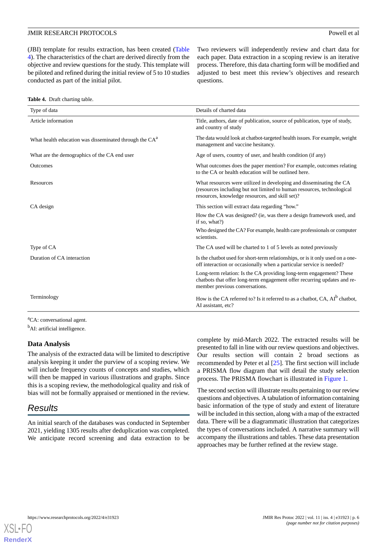(JBI) template for results extraction, has been created ([Table](#page-5-0) [4\)](#page-5-0). The characteristics of the chart are derived directly from the objective and review questions for the study. This template will be piloted and refined during the initial review of 5 to 10 studies conducted as part of the initial pilot.

Two reviewers will independently review and chart data for each paper. Data extraction in a scoping review is an iterative process. Therefore, this data charting form will be modified and adjusted to best meet this review's objectives and research questions.

<span id="page-5-0"></span>

|  | <b>Table 4.</b> Draft charting table. |  |
|--|---------------------------------------|--|
|--|---------------------------------------|--|

| Type of data                                                       | Details of charted data                                                                                                                                                                          |
|--------------------------------------------------------------------|--------------------------------------------------------------------------------------------------------------------------------------------------------------------------------------------------|
| Article information                                                | Title, authors, date of publication, source of publication, type of study,<br>and country of study                                                                                               |
| What health education was disseminated through the CA <sup>a</sup> | The data would look at chatbot-targeted health issues. For example, weight<br>management and vaccine hesitancy.                                                                                  |
| What are the demographics of the CA end user                       | Age of users, country of user, and health condition (if any)                                                                                                                                     |
| <b>Outcomes</b>                                                    | What outcomes does the paper mention? For example, outcomes relating<br>to the CA or health education will be outlined here.                                                                     |
| Resources                                                          | What resources were utilized in developing and disseminating the CA<br>(resources including but not limited to human resources, technological<br>resources, knowledge resources, and skill set)? |
| CA design                                                          | This section will extract data regarding "how."                                                                                                                                                  |
|                                                                    | How the CA was designed? (ie, was there a design framework used, and<br>if so, what?)                                                                                                            |
|                                                                    | Who designed the CA? For example, health care professionals or computer<br>scientists.                                                                                                           |
| Type of CA                                                         | The CA used will be charted to 1 of 5 levels as noted previously                                                                                                                                 |
| Duration of CA interaction                                         | Is the chatbot used for short-term relationships, or is it only used on a one-<br>off interaction or occasionally when a particular service is needed?                                           |
|                                                                    | Long-term relation: Is the CA providing long-term engagement? These<br>chatbots that offer long-term engagement offer recurring updates and re-<br>member previous conversations.                |
| Terminology                                                        | How is the CA referred to? Is it referred to as a chatbot, CA, AI <sup>b</sup> chatbot,<br>AI assistant, etc?                                                                                    |
|                                                                    |                                                                                                                                                                                                  |

<sup>a</sup>CA: conversational agent.

<sup>b</sup>AI: artificial intelligence.

### **Data Analysis**

The analysis of the extracted data will be limited to descriptive analysis keeping it under the purview of a scoping review. We will include frequency counts of concepts and studies, which will then be mapped in various illustrations and graphs. Since this is a scoping review, the methodological quality and risk of bias will not be formally appraised or mentioned in the review.

# *Results*

An initial search of the databases was conducted in September 2021, yielding 1305 results after deduplication was completed. We anticipate record screening and data extraction to be

complete by mid-March 2022. The extracted results will be presented to fall in line with our review questions and objectives. Our results section will contain 2 broad sections as recommended by Peter et al [\[25](#page-8-2)]. The first section will include a PRISMA flow diagram that will detail the study selection process. The PRISMA flowchart is illustrated in [Figure 1](#page-6-0).

The second section will illustrate results pertaining to our review questions and objectives. A tabulation of information containing basic information of the type of study and extent of literature will be included in this section, along with a map of the extracted data. There will be a diagrammatic illustration that categorizes the types of conversations included. A narrative summary will accompany the illustrations and tables. These data presentation approaches may be further refined at the review stage.

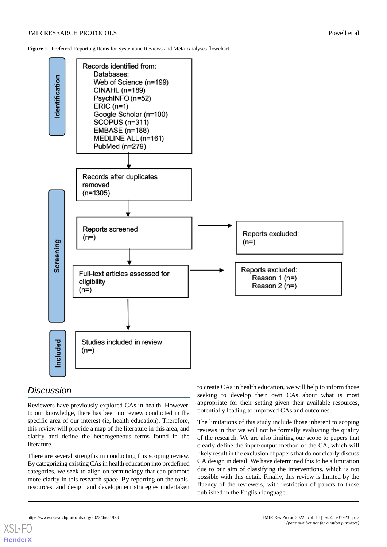<span id="page-6-0"></span>**Figure 1.** Preferred Reporting Items for Systematic Reviews and Meta-Analyses flowchart.



# *Discussion*

Reviewers have previously explored CAs in health. However, to our knowledge, there has been no review conducted in the specific area of our interest (ie, health education). Therefore, this review will provide a map of the literature in this area, and clarify and define the heterogeneous terms found in the literature.

There are several strengths in conducting this scoping review. By categorizing existing CAs in health education into predefined categories, we seek to align on terminology that can promote more clarity in this research space. By reporting on the tools, resources, and design and development strategies undertaken to create CAs in health education, we will help to inform those seeking to develop their own CAs about what is most appropriate for their setting given their available resources, potentially leading to improved CAs and outcomes.

The limitations of this study include those inherent to scoping reviews in that we will not be formally evaluating the quality of the research. We are also limiting our scope to papers that clearly define the input/output method of the CA, which will likely result in the exclusion of papers that do not clearly discuss CA design in detail. We have determined this to be a limitation due to our aim of classifying the interventions, which is not possible with this detail. Finally, this review is limited by the fluency of the reviewers, with restriction of papers to those published in the English language.



[XSL](http://www.w3.org/Style/XSL)•FO **[RenderX](http://www.renderx.com/)**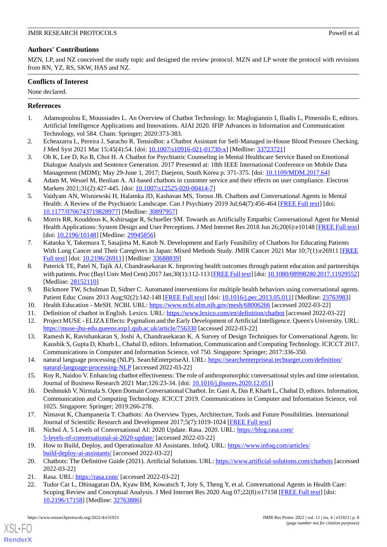# **Authors' Contributions**

MZN, LP, and NZ conceived the study topic and designed the review protocol. MZN and LP wrote the protocol with revisions from RN, YZ, RS, SKW, HAS and NZ.

### **Conflicts of Interest**

None declared.

## <span id="page-7-0"></span>**References**

- <span id="page-7-1"></span>1. Adamopoulou E, Moussiades L. An Overview of Chatbot Technology. In: Maglogiannis I, Iliadis L, Pimenidis E, editors. Artificial Intelligence Applications and Innovations. AIAI 2020. IFIP Advances in Information and Communication Technology, vol 584. Cham: Springer; 2020:373-383.
- <span id="page-7-2"></span>2. Echeazarra L, Pereira J, Saracho R. TensioBot: a Chatbot Assistant for Self-Managed in-House Blood Pressure Checking. J Med Syst 2021 Mar 15;45(4):54. [doi: [10.1007/s10916-021-01730-x\]](http://dx.doi.org/10.1007/s10916-021-01730-x) [Medline: [33723721\]](http://www.ncbi.nlm.nih.gov/entrez/query.fcgi?cmd=Retrieve&db=PubMed&list_uids=33723721&dopt=Abstract)
- <span id="page-7-3"></span>3. Oh K, Lee D, Ko B, Choi H. A Chatbot for Psychiatric Counseling in Mental Healthcare Service Based on Emotional Dialogue Analysis and Sentence Generation. 2017 Presented at: 18th IEEE International Conference on Mobile Data Management (MDM); May 29-June 1, 2017; Daejeon, South Korea p. 371-375. [doi: [10.1109/MDM.2017.64](http://dx.doi.org/10.1109/MDM.2017.64)]
- <span id="page-7-4"></span>4. Adam M, Wessel M, Benlian A. AI-based chatbots in customer service and their effects on user compliance. Electron Markets 2021;31(2):427-445. [doi: [10.1007/s12525-020-00414-7\]](http://dx.doi.org/10.1007/s12525-020-00414-7)
- <span id="page-7-5"></span>5. Vaidyam AN, Wisniewski H, Halamka JD, Kashavan MS, Torous JB. Chatbots and Conversational Agents in Mental Health: A Review of the Psychiatric Landscape. Can J Psychiatry 2019 Jul;64(7):456-464 [\[FREE Full text\]](http://europepmc.org/abstract/MED/30897957) [doi: [10.1177/0706743719828977\]](http://dx.doi.org/10.1177/0706743719828977) [Medline: [30897957\]](http://www.ncbi.nlm.nih.gov/entrez/query.fcgi?cmd=Retrieve&db=PubMed&list_uids=30897957&dopt=Abstract)
- <span id="page-7-6"></span>6. Morris RR, Kouddous K, Kshirsagar R, Schueller SM. Towards an Artificially Empathic Conversational Agent for Mental Health Applications: System Design and User Perceptions. J Med Internet Res 2018 Jun 26;20(6):e10148 [[FREE Full text](https://www.jmir.org/2018/6/e10148/)] [doi: [10.2196/10148](http://dx.doi.org/10.2196/10148)] [Medline: [29945856\]](http://www.ncbi.nlm.nih.gov/entrez/query.fcgi?cmd=Retrieve&db=PubMed&list_uids=29945856&dopt=Abstract)
- <span id="page-7-7"></span>7. Kataoka Y, Takemura T, Sasajima M, Katoh N. Development and Early Feasibility of Chatbots for Educating Patients With Lung Cancer and Their Caregivers in Japan: Mixed Methods Study. JMIR Cancer 2021 Mar 10;7(1):e26911 [[FREE](https://cancer.jmir.org/2021/1/e26911/) [Full text\]](https://cancer.jmir.org/2021/1/e26911/) [doi: [10.2196/26911\]](http://dx.doi.org/10.2196/26911) [Medline: [33688839](http://www.ncbi.nlm.nih.gov/entrez/query.fcgi?cmd=Retrieve&db=PubMed&list_uids=33688839&dopt=Abstract)]
- <span id="page-7-9"></span><span id="page-7-8"></span>8. Paterick TE, Patel N, Tajik AJ, Chandrasekaran K. Improving health outcomes through patient education and partnerships with patients. Proc (Bayl Univ Med Cent) 2017 Jan;30(1):112-113 [\[FREE Full text](http://europepmc.org/abstract/MED/28152110)] [doi: [10.1080/08998280.2017.11929552\]](http://dx.doi.org/10.1080/08998280.2017.11929552) [Medline: [28152110](http://www.ncbi.nlm.nih.gov/entrez/query.fcgi?cmd=Retrieve&db=PubMed&list_uids=28152110&dopt=Abstract)]
- <span id="page-7-11"></span><span id="page-7-10"></span>9. Bickmore TW, Schulman D, Sidner C. Automated interventions for multiple health behaviors using conversational agents. Patient Educ Couns 2013 Aug;92(2):142-148 [[FREE Full text](http://europepmc.org/abstract/MED/23763983)] [doi: [10.1016/j.pec.2013.05.011](http://dx.doi.org/10.1016/j.pec.2013.05.011)] [Medline: [23763983](http://www.ncbi.nlm.nih.gov/entrez/query.fcgi?cmd=Retrieve&db=PubMed&list_uids=23763983&dopt=Abstract)]
- <span id="page-7-12"></span>10. Health Education - MeSH. NCBI. URL: <https://www.ncbi.nlm.nih.gov/mesh/68006266> [accessed 2022-03-22]
- 11. Definition of chatbot in English. Lexico. URL:<https://www.lexico.com/en/definition/chatbot> [accessed 2022-03-22]
- <span id="page-7-13"></span>12. Project MUSE - ELIZA Effects: Pygmalion and the Early Development of Artificial Intelligence. Queen's University. URL: <https://muse-jhu-edu.queens.ezp1.qub.ac.uk/article/756330> [accessed 2022-03-22]
- <span id="page-7-14"></span>13. Ramesh K, Ravishankaran S, Joshi A, Chandrasekaran K. A Survey of Design Techniques for Conversational Agents. In: Kaushik S, Gupta D, Kharb L, Chahal D, editors. Information, Communication and Computing Technology. ICICCT 2017. Communications in Computer and Information Science, vol 750. Singapore: Springer; 2017:336-350.
- <span id="page-7-15"></span>14. natural language processing (NLP). SearchEnterpriseAI. URL: [https://searchenterpriseai.techtarget.com/definition/](https://searchenterpriseai.techtarget.com/definition/natural-language-processing-NLP) [natural-language-processing-NLP](https://searchenterpriseai.techtarget.com/definition/natural-language-processing-NLP) [accessed 2022-03-22]
- <span id="page-7-16"></span>15. Roy R, Naidoo V. Enhancing chatbot effectiveness: The role of anthropomorphic conversational styles and time orientation. Journal of Business Research 2021 Mar;126:23-34. [doi: [10.1016/j.jbusres.2020.12.051](http://dx.doi.org/10.1016/j.jbusres.2020.12.051)]
- <span id="page-7-17"></span>16. Deshmukh V, Nirmala S. Open Domain Conversational Chatbot. In: Gani A, Das P, Kharb L, Chahal D, editors. Information, Communication and Computing Technology. ICICCT 2019. Communications in Computer and Information Science, vol 1025. Singapore: Springer; 2019:266-278.
- <span id="page-7-18"></span>17. Nimavat K, Champaneria T. Chatbots: An Overview Types, Architecture, Tools and Future Possibilities. International Journal of Scientific Research and Development 2017;5(7):1019-1024 [\[FREE Full text\]](http://ijsrd.com/Article.php?manuscript=IJSRDV5I70501)
- <span id="page-7-20"></span><span id="page-7-19"></span>18. Nichol A. 5 Levels of Conversational AI: 2020 Update. Rasa. 2020. URL: [https://blog.rasa.com/](https://blog.rasa.com/5-levels-of-conversational-ai-2020-update/) [5-levels-of-conversational-ai-2020-update/](https://blog.rasa.com/5-levels-of-conversational-ai-2020-update/) [accessed 2022-03-22]
- 19. How to Build, Deploy, and Operationalize AI Assistants. InfoQ. URL: [https://www.infoq.com/articles/](https://www.infoq.com/articles/build-deploy-ai-assistants/) [build-deploy-ai-assistants/](https://www.infoq.com/articles/build-deploy-ai-assistants/) [accessed 2022-03-22]
- 20. Chatbots: The Definitive Guide (2021). Artificial Solutions. URL:<https://www.artificial-solutions.com/chatbots> [accessed 2022-03-22]
- 21. Rasa. URL:<https://rasa.com/> [accessed 2022-03-22]
- 22. Tudor Car L, Dhinagaran DA, Kyaw BM, Kowatsch T, Joty S, Theng Y, et al. Conversational Agents in Health Care: Scoping Review and Conceptual Analysis. J Med Internet Res 2020 Aug 07;22(8):e17158 [\[FREE Full text\]](https://www.jmir.org/2020/8/e17158/) [doi: [10.2196/17158\]](http://dx.doi.org/10.2196/17158) [Medline: [32763886\]](http://www.ncbi.nlm.nih.gov/entrez/query.fcgi?cmd=Retrieve&db=PubMed&list_uids=32763886&dopt=Abstract)

[XSL](http://www.w3.org/Style/XSL)•FO **[RenderX](http://www.renderx.com/)**